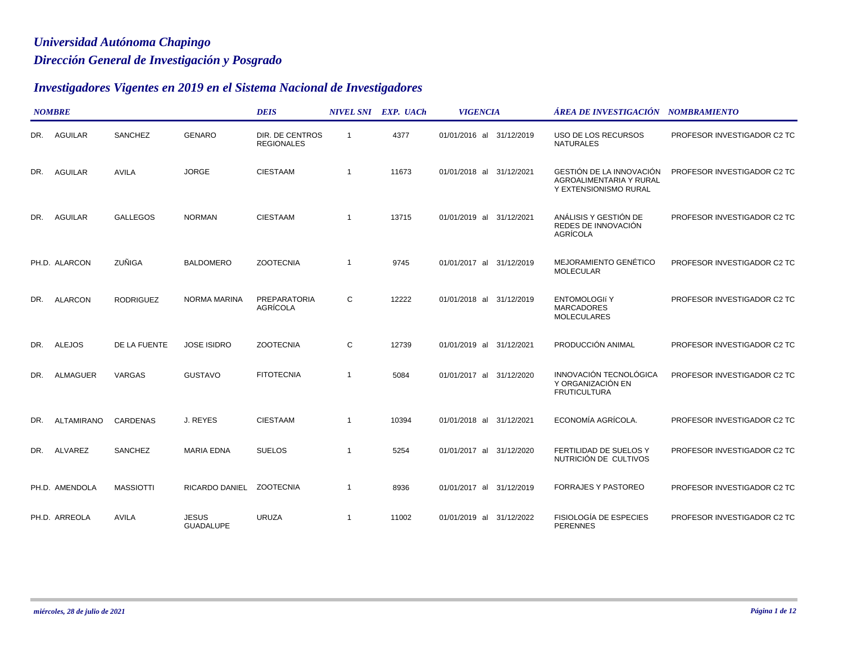## *Dirección General de Investigación y Posgrado Universidad Autónoma Chapingo*

## *Investigadores Vigentes en 2019 en el Sistema Nacional de Investigadores*

|     | <b>NOMBRE</b>     |                  |                                  | <b>DEIS</b>                          |                         | NIVEL SNI EXP. UACh | <b>VIGENCIA</b>          | ÁREA DE INVESTIGACIÓN NOMBRAMIENTO                                           |                             |
|-----|-------------------|------------------|----------------------------------|--------------------------------------|-------------------------|---------------------|--------------------------|------------------------------------------------------------------------------|-----------------------------|
| DR. | <b>AGUILAR</b>    | SANCHEZ          | <b>GENARO</b>                    | DIR. DE CENTROS<br><b>REGIONALES</b> | $\overline{\mathbf{1}}$ | 4377                | 01/01/2016 al 31/12/2019 | USO DE LOS RECURSOS<br><b>NATURALES</b>                                      | PROFESOR INVESTIGADOR C2 TC |
| DR. | <b>AGUILAR</b>    | <b>AVILA</b>     | <b>JORGE</b>                     | <b>CIESTAAM</b>                      | $\overline{1}$          | 11673               | 01/01/2018 al 31/12/2021 | GESTIÓN DE LA INNOVACIÓN<br>AGROALIMENTARIA Y RURAL<br>Y EXTENSIONISMO RURAL | PROFESOR INVESTIGADOR C2 TC |
| DR. | <b>AGUILAR</b>    | <b>GALLEGOS</b>  | <b>NORMAN</b>                    | <b>CIESTAAM</b>                      | $\overline{1}$          | 13715               | 01/01/2019 al 31/12/2021 | ANÁLISIS Y GESTIÓN DE<br>REDES DE INNOVACIÓN<br>AGRÍCOLA                     | PROFESOR INVESTIGADOR C2 TC |
|     | PH.D. ALARCON     | ZUÑIGA           | <b>BALDOMERO</b>                 | <b>ZOOTECNIA</b>                     | -1                      | 9745                | 01/01/2017 al 31/12/2019 | MEJORAMIENTO GENÉTICO<br><b>MOLECULAR</b>                                    | PROFESOR INVESTIGADOR C2 TC |
| DR. | <b>ALARCON</b>    | <b>RODRIGUEZ</b> | <b>NORMA MARINA</b>              | <b>PREPARATORIA</b><br>AGRÍCOLA      | C                       | 12222               | 01/01/2018 al 31/12/2019 | <b>ENTOMOLOGIÍ Y</b><br><b>MARCADORES</b><br><b>MOLECULARES</b>              | PROFESOR INVESTIGADOR C2 TC |
| DR. | <b>ALEJOS</b>     | DE LA FUENTE     | <b>JOSE ISIDRO</b>               | <b>ZOOTECNIA</b>                     | C                       | 12739               | 01/01/2019 al 31/12/2021 | PRODUCCIÓN ANIMAL                                                            | PROFESOR INVESTIGADOR C2 TC |
| DR. | <b>ALMAGUER</b>   | VARGAS           | <b>GUSTAVO</b>                   | <b>FITOTECNIA</b>                    | $\overline{1}$          | 5084                | 01/01/2017 al 31/12/2020 | INNOVACIÓN TECNOLÓGICA<br>Y ORGANIZACIÓN EN<br><b>FRUTICULTURA</b>           | PROFESOR INVESTIGADOR C2 TC |
| DR. | <b>ALTAMIRANO</b> | <b>CARDENAS</b>  | J. REYES                         | <b>CIESTAAM</b>                      | -1                      | 10394               | 01/01/2018 al 31/12/2021 | ECONOMÍA AGRÍCOLA.                                                           | PROFESOR INVESTIGADOR C2 TC |
| DR. | ALVAREZ           | SANCHEZ          | <b>MARIA EDNA</b>                | <b>SUELOS</b>                        | $\overline{\mathbf{1}}$ | 5254                | 01/01/2017 al 31/12/2020 | FERTILIDAD DE SUELOS Y<br>NUTRICIÓN DE CULTIVOS                              | PROFESOR INVESTIGADOR C2 TC |
|     | PH.D. AMENDOLA    | <b>MASSIOTTI</b> | RICARDO DANIEL ZOOTECNIA         |                                      | -1                      | 8936                | 01/01/2017 al 31/12/2019 | <b>FORRAJES Y PASTOREO</b>                                                   | PROFESOR INVESTIGADOR C2 TC |
|     | PH.D. ARREOLA     | <b>AVILA</b>     | <b>JESUS</b><br><b>GUADALUPE</b> | <b>URUZA</b>                         | $\overline{1}$          | 11002               | 01/01/2019 al 31/12/2022 | FISIOLOGÍA DE ESPECIES<br><b>PERENNES</b>                                    | PROFESOR INVESTIGADOR C2 TC |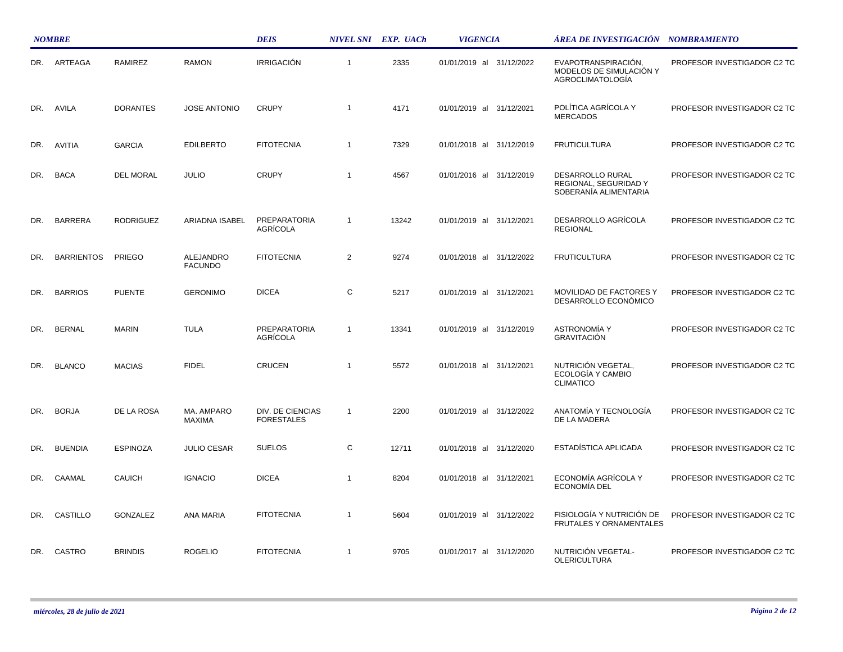|     | <b>NOMBRE</b>     |                  |                                    | <b>DEIS</b>                           |              | NIVEL SNI EXP. UACh | <b>VIGENCIA</b>             | ÁREA DE INVESTIGACIÓN NOMBRAMIENTO                                        |                             |
|-----|-------------------|------------------|------------------------------------|---------------------------------------|--------------|---------------------|-----------------------------|---------------------------------------------------------------------------|-----------------------------|
| DR. | ARTEAGA           | <b>RAMIREZ</b>   | <b>RAMON</b>                       | <b>IRRIGACIÓN</b>                     | $\mathbf{1}$ | 2335                | 01/01/2019 al 31/12/2022    | EVAPOTRANSPIRACIÓN,<br>MODELOS DE SIMULACIÓN Y<br><b>AGROCLIMATOLOGÍA</b> | PROFESOR INVESTIGADOR C2 TC |
| DR. | AVILA             | <b>DORANTES</b>  | <b>JOSE ANTONIO</b>                | <b>CRUPY</b>                          | $\mathbf{1}$ | 4171                | 01/01/2019 al<br>31/12/2021 | POLÍTICA AGRÍCOLA Y<br><b>MERCADOS</b>                                    | PROFESOR INVESTIGADOR C2 TC |
| DR. | <b>AVITIA</b>     | <b>GARCIA</b>    | <b>EDILBERTO</b>                   | <b>FITOTECNIA</b>                     | $\mathbf{1}$ | 7329                | 01/01/2018 al 31/12/2019    | <b>FRUTICULTURA</b>                                                       | PROFESOR INVESTIGADOR C2 TC |
| DR. | <b>BACA</b>       | <b>DEL MORAL</b> | <b>JULIO</b>                       | <b>CRUPY</b>                          | $\mathbf{1}$ | 4567                | 01/01/2016 al 31/12/2019    | DESARROLLO RURAL<br>REGIONAL, SEGURIDAD Y<br>SOBERANÍA ALIMENTARIA        | PROFESOR INVESTIGADOR C2 TC |
| DR. | <b>BARRERA</b>    | <b>RODRIGUEZ</b> | ARIADNA ISABEL                     | <b>PREPARATORIA</b><br>AGRÍCOLA       | $\mathbf{1}$ | 13242               | 01/01/2019 al 31/12/2021    | DESARROLLO AGRÍCOLA<br><b>REGIONAL</b>                                    | PROFESOR INVESTIGADOR C2 TC |
| DR. | <b>BARRIENTOS</b> | PRIEGO           | <b>ALEJANDRO</b><br><b>FACUNDO</b> | <b>FITOTECNIA</b>                     | 2            | 9274                | 01/01/2018 al 31/12/2022    | <b>FRUTICULTURA</b>                                                       | PROFESOR INVESTIGADOR C2 TC |
| DR. | <b>BARRIOS</b>    | <b>PUENTE</b>    | <b>GERONIMO</b>                    | <b>DICEA</b>                          | C            | 5217                | 01/01/2019 al 31/12/2021    | MOVILIDAD DE FACTORES Y<br>DESARROLLO ECONÓMICO                           | PROFESOR INVESTIGADOR C2 TC |
| DR. | <b>BERNAL</b>     | <b>MARIN</b>     | <b>TULA</b>                        | <b>PREPARATORIA</b><br>AGRÍCOLA       | $\mathbf{1}$ | 13341               | 01/01/2019 al 31/12/2019    | <b>ASTRONOMÍA Y</b><br><b>GRAVITACIÓN</b>                                 | PROFESOR INVESTIGADOR C2 TC |
| DR. | <b>BLANCO</b>     | <b>MACIAS</b>    | <b>FIDEL</b>                       | <b>CRUCEN</b>                         | $\mathbf{1}$ | 5572                | 01/01/2018 al 31/12/2021    | NUTRICIÓN VEGETAL,<br>ECOLOGÍA Y CAMBIO<br><b>CLIMATICO</b>               | PROFESOR INVESTIGADOR C2 TC |
| DR. | <b>BORJA</b>      | DE LA ROSA       | MA. AMPARO<br><b>MAXIMA</b>        | DIV. DE CIENCIAS<br><b>FORESTALES</b> | $\mathbf{1}$ | 2200                | 01/01/2019 al 31/12/2022    | ANATOMÍA Y TECNOLOGÍA<br>DE LA MADERA                                     | PROFESOR INVESTIGADOR C2 TC |
| DR. | <b>BUENDIA</b>    | <b>ESPINOZA</b>  | <b>JULIO CESAR</b>                 | <b>SUELOS</b>                         | C            | 12711               | 01/01/2018 al 31/12/2020    | ESTADÍSTICA APLICADA                                                      | PROFESOR INVESTIGADOR C2 TC |
| DR. | CAAMAL            | <b>CAUICH</b>    | <b>IGNACIO</b>                     | <b>DICEA</b>                          | $\mathbf{1}$ | 8204                | 01/01/2018 al 31/12/2021    | ECONOMÍA AGRÍCOLA Y<br><b>ECONOMÍA DEL</b>                                | PROFESOR INVESTIGADOR C2 TC |
| DR. | CASTILLO          | <b>GONZALEZ</b>  | ANA MARIA                          | <b>FITOTECNIA</b>                     | $\mathbf{1}$ | 5604                | 01/01/2019 al 31/12/2022    | FISIOLOGÍA Y NUTRICIÓN DE<br>FRUTALES Y ORNAMENTALES                      | PROFESOR INVESTIGADOR C2 TC |
| DR. | CASTRO            | <b>BRINDIS</b>   | <b>ROGELIO</b>                     | <b>FITOTECNIA</b>                     | $\mathbf{1}$ | 9705                | 01/01/2017 al 31/12/2020    | NUTRICIÓN VEGETAL-<br><b>OLERICULTURA</b>                                 | PROFESOR INVESTIGADOR C2 TC |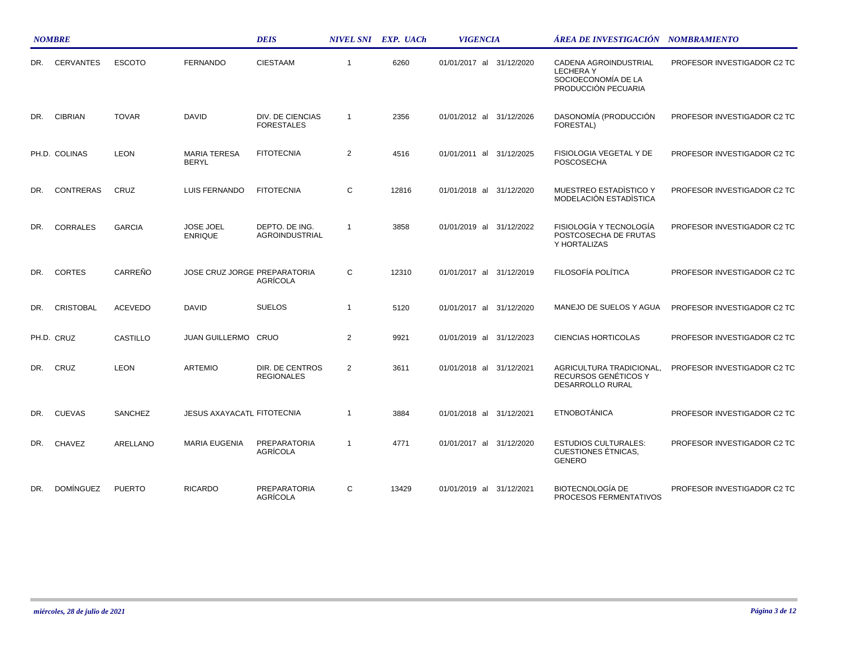|     | <b>NOMBRE</b>    |                |                                     | <b>DEIS</b>                           |                | NIVEL SNI EXP. UACh | <b>VIGENCIA</b>             | ÁREA DE INVESTIGACIÓN – NOMBRAMIENTO                                                   |                             |
|-----|------------------|----------------|-------------------------------------|---------------------------------------|----------------|---------------------|-----------------------------|----------------------------------------------------------------------------------------|-----------------------------|
| DR. | <b>CERVANTES</b> | <b>ESCOTO</b>  | <b>FERNANDO</b>                     | <b>CIESTAAM</b>                       | $\overline{1}$ | 6260                | 01/01/2017 al<br>31/12/2020 | CADENA AGROINDUSTRIAL<br><b>LECHERAY</b><br>SOCIOECONOMÍA DE LA<br>PRODUCCIÓN PECUARIA | PROFESOR INVESTIGADOR C2 TC |
| DR. | <b>CIBRIAN</b>   | <b>TOVAR</b>   | <b>DAVID</b>                        | DIV. DE CIENCIAS<br><b>FORESTALES</b> | $\overline{1}$ | 2356                | 01/01/2012 al 31/12/2026    | DASONOMÍA (PRODUCCIÓN<br>FORESTAL)                                                     | PROFESOR INVESTIGADOR C2 TC |
|     | PH.D. COLINAS    | <b>LEON</b>    | <b>MARIA TERESA</b><br><b>BERYL</b> | <b>FITOTECNIA</b>                     | $\overline{2}$ | 4516                | 01/01/2011 al 31/12/2025    | FISIOLOGIA VEGETAL Y DE<br><b>POSCOSECHA</b>                                           | PROFESOR INVESTIGADOR C2 TC |
| DR. | <b>CONTRERAS</b> | CRUZ           | LUIS FERNANDO                       | <b>FITOTECNIA</b>                     | C              | 12816               | 01/01/2018 al<br>31/12/2020 | <b>MUESTREO ESTADISTICO Y</b><br>MODELACIÓN ESTADÍSTICA                                | PROFESOR INVESTIGADOR C2 TC |
| DR. | CORRALES         | <b>GARCIA</b>  | JOSE JOEL<br><b>ENRIQUE</b>         | DEPTO. DE ING.<br>AGROINDUSTRIAL      | $\overline{1}$ | 3858                | 01/01/2019 al<br>31/12/2022 | FISIOLOGÍA Y TECNOLOGÍA<br>POSTCOSECHA DE FRUTAS<br>Y HORTALIZAS                       | PROFESOR INVESTIGADOR C2 TC |
| DR. | <b>CORTES</b>    | CARREÑO        | JOSE CRUZ JORGE PREPARATORIA        | AGRÍCOLA                              | C              | 12310               | 01/01/2017 al 31/12/2019    | FILOSOFÍA POLÍTICA                                                                     | PROFESOR INVESTIGADOR C2 TC |
| DR. | <b>CRISTOBAL</b> | <b>ACEVEDO</b> | <b>DAVID</b>                        | <b>SUELOS</b>                         | $\mathbf{1}$   | 5120                | 01/01/2017 al 31/12/2020    | MANEJO DE SUELOS Y AGUA                                                                | PROFESOR INVESTIGADOR C2 TC |
|     | PH.D. CRUZ       | CASTILLO       | JUAN GUILLERMO CRUO                 |                                       | $\overline{2}$ | 9921                | 01/01/2019 al 31/12/2023    | <b>CIENCIAS HORTICOLAS</b>                                                             | PROFESOR INVESTIGADOR C2 TC |
| DR. | CRUZ             | <b>LEON</b>    | <b>ARTEMIO</b>                      | DIR. DE CENTROS<br><b>REGIONALES</b>  | $\overline{2}$ | 3611                | 01/01/2018 al 31/12/2021    | AGRICULTURA TRADICIONAL,<br>RECURSOS GENÉTICOS Y<br>DESARROLLO RURAL                   | PROFESOR INVESTIGADOR C2 TC |
| DR. | <b>CUEVAS</b>    | <b>SANCHEZ</b> | <b>JESUS AXAYACATL FITOTECNIA</b>   |                                       | $\overline{1}$ | 3884                | 01/01/2018 al 31/12/2021    | <b>ETNOBOTÁNICA</b>                                                                    | PROFESOR INVESTIGADOR C2 TC |
| DR. | <b>CHAVEZ</b>    | ARELLANO       | <b>MARIA EUGENIA</b>                | PREPARATORIA<br>AGRÍCOLA              | $\mathbf{1}$   | 4771                | 01/01/2017 al 31/12/2020    | <b>ESTUDIOS CULTURALES:</b><br><b>CUESTIONES ÉTNICAS,</b><br><b>GENERO</b>             | PROFESOR INVESTIGADOR C2 TC |
| DR. | <b>DOMÍNGUEZ</b> | <b>PUERTO</b>  | <b>RICARDO</b>                      | PREPARATORIA<br>AGRÍCOLA              | C              | 13429               | 01/01/2019 al 31/12/2021    | <b>BIOTECNOLOGÍA DE</b><br>PROCESOS FERMENTATIVOS                                      | PROFESOR INVESTIGADOR C2 TC |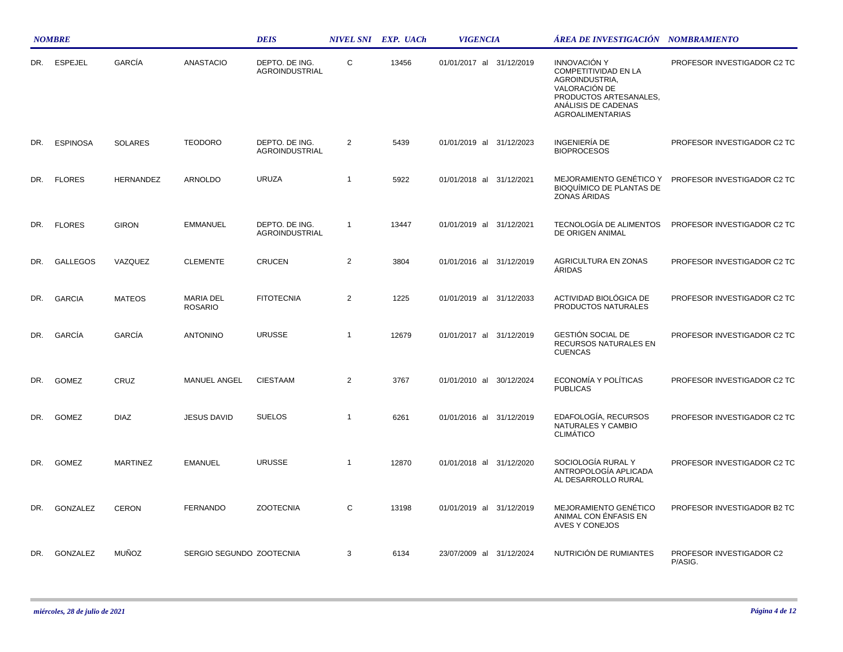|     | <b>NOMBRE</b>   |                 |                                    | <b>DEIS</b>                      |                | NIVEL SNI EXP. UACh | <b>VIGENCIA</b>             | ÁREA DE INVESTIGACIÓN NOMBRAMIENTO                                                                                                                         |                                     |
|-----|-----------------|-----------------|------------------------------------|----------------------------------|----------------|---------------------|-----------------------------|------------------------------------------------------------------------------------------------------------------------------------------------------------|-------------------------------------|
| DR. | <b>ESPEJEL</b>  | GARCÍA          | <b>ANASTACIO</b>                   | DEPTO. DE ING.<br>AGROINDUSTRIAL | C              | 13456               | 01/01/2017 al 31/12/2019    | <b>INNOVACIÓN Y</b><br>COMPETITIVIDAD EN LA<br>AGROINDUSTRIA,<br>VALORACIÓN DE<br>PRODUCTOS ARTESANALES,<br>ANALISIS DE CADENAS<br><b>AGROALIMENTARIAS</b> | PROFESOR INVESTIGADOR C2 TC         |
| DR. | <b>ESPINOSA</b> | <b>SOLARES</b>  | <b>TEODORO</b>                     | DEPTO. DE ING.<br>AGROINDUSTRIAL | 2              | 5439                | 01/01/2019 al 31/12/2023    | <b>INGENIERÍA DE</b><br><b>BIOPROCESOS</b>                                                                                                                 | PROFESOR INVESTIGADOR C2 TC         |
| DR. | <b>FLORES</b>   | HERNANDEZ       | <b>ARNOLDO</b>                     | <b>URUZA</b>                     | $\overline{1}$ | 5922                | 01/01/2018 al<br>31/12/2021 | MEJORAMIENTO GENÉTICO Y<br><b>BIOQUÍMICO DE PLANTAS DE</b><br>ZONAS ÁRIDAS                                                                                 | PROFESOR INVESTIGADOR C2 TC         |
| DR. | <b>FLORES</b>   | <b>GIRON</b>    | EMMANUEL                           | DEPTO. DE ING.<br>AGROINDUSTRIAL | $\mathbf{1}$   | 13447               | 01/01/2019 al 31/12/2021    | TECNOLOGÍA DE ALIMENTOS<br>DE ORIGEN ANIMAL                                                                                                                | PROFESOR INVESTIGADOR C2 TC         |
| DR. | <b>GALLEGOS</b> | VAZQUEZ         | <b>CLEMENTE</b>                    | <b>CRUCEN</b>                    | 2              | 3804                | 01/01/2016 al 31/12/2019    | AGRICULTURA EN ZONAS<br>ÁRIDAS                                                                                                                             | PROFESOR INVESTIGADOR C2 TC         |
| DR. | <b>GARCIA</b>   | <b>MATEOS</b>   | <b>MARIA DEL</b><br><b>ROSARIO</b> | <b>FITOTECNIA</b>                | 2              | 1225                | 01/01/2019 al 31/12/2033    | ACTIVIDAD BIOLÓGICA DE<br>PRODUCTOS NATURALES                                                                                                              | PROFESOR INVESTIGADOR C2 TC         |
| DR. | GARCÍA          | GARCÍA          | <b>ANTONINO</b>                    | <b>URUSSE</b>                    | $\overline{1}$ | 12679               | 01/01/2017 al 31/12/2019    | GESTIÓN SOCIAL DE<br>RECURSOS NATURALES EN<br><b>CUENCAS</b>                                                                                               | PROFESOR INVESTIGADOR C2 TC         |
| DR. | <b>GOMEZ</b>    | CRUZ            | <b>MANUEL ANGEL</b>                | <b>CIESTAAM</b>                  | 2              | 3767                | 01/01/2010 al<br>30/12/2024 | ECONOMÍA Y POLÍTICAS<br><b>PUBLICAS</b>                                                                                                                    | PROFESOR INVESTIGADOR C2 TC         |
| DR. | <b>GOMEZ</b>    | <b>DIAZ</b>     | <b>JESUS DAVID</b>                 | <b>SUELOS</b>                    | $\mathbf{1}$   | 6261                | 01/01/2016 al 31/12/2019    | EDAFOLOGÍA, RECURSOS<br>NATURALES Y CAMBIO<br><b>CLIMÁTICO</b>                                                                                             | PROFESOR INVESTIGADOR C2 TC         |
| DR. | <b>GOMEZ</b>    | <b>MARTINEZ</b> | <b>EMANUEL</b>                     | <b>URUSSE</b>                    | $\overline{1}$ | 12870               | 01/01/2018 al 31/12/2020    | SOCIOLOGÍA RURAL Y<br>ANTROPOLOGÍA APLICADA<br>AL DESARROLLO RURAL                                                                                         | PROFESOR INVESTIGADOR C2 TC         |
| DR. | GONZALEZ        | <b>CERON</b>    | <b>FERNANDO</b>                    | <b>ZOOTECNIA</b>                 | C              | 13198               | 01/01/2019 al 31/12/2019    | <b>MEJORAMIENTO GENÉTICO</b><br>ANIMAL CON ENFASIS EN<br>AVES Y CONEJOS                                                                                    | PROFESOR INVESTIGADOR B2 TC         |
| DR. | GONZALEZ        | <b>MUÑOZ</b>    | SERGIO SEGUNDO ZOOTECNIA           |                                  | 3              | 6134                | 23/07/2009 al 31/12/2024    | NUTRICIÓN DE RUMIANTES                                                                                                                                     | PROFESOR INVESTIGADOR C2<br>P/ASIG. |

 $\mathcal{L}$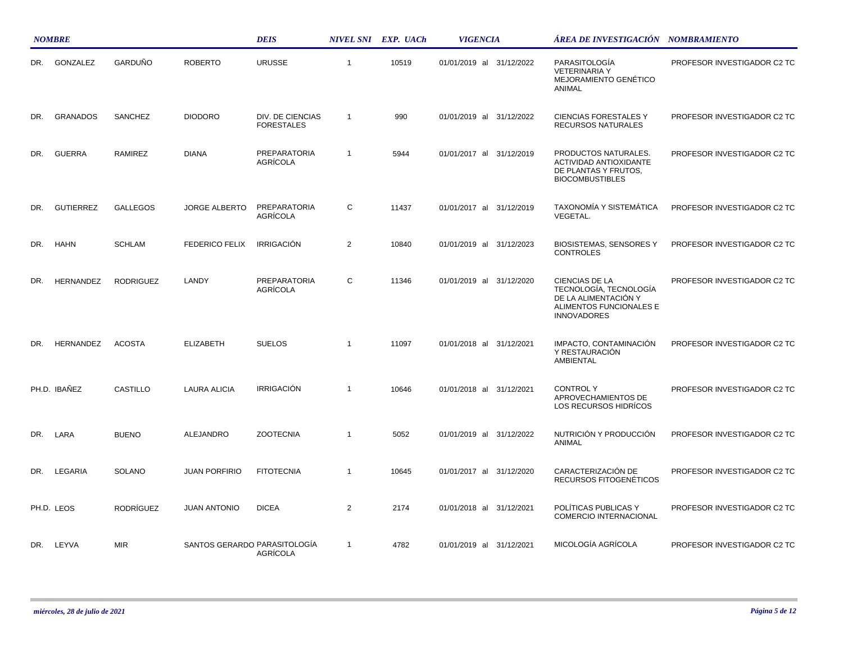|     | <b>NOMBRE</b>    |                  |                       | <b>DEIS</b>                              |                | NIVEL SNI EXP. UACh | <b>VIGENCIA</b>          | <b>AREA DE INVESTIGACIÓN NOMBRAMIENTO</b>                                                                         |                             |  |
|-----|------------------|------------------|-----------------------|------------------------------------------|----------------|---------------------|--------------------------|-------------------------------------------------------------------------------------------------------------------|-----------------------------|--|
| DR. | GONZALEZ         | GARDUÑO          | <b>ROBERTO</b>        | <b>URUSSE</b>                            | $\mathbf{1}$   | 10519               | 01/01/2019 al 31/12/2022 | PARASITOLOGÍA<br><b>VETERINARIA Y</b><br>MEJORAMIENTO GENÉTICO<br>ANIMAL                                          | PROFESOR INVESTIGADOR C2 TC |  |
| DR. | <b>GRANADOS</b>  | SANCHEZ          | <b>DIODORO</b>        | DIV. DE CIENCIAS<br><b>FORESTALES</b>    | $\mathbf{1}$   | 990                 | 01/01/2019 al 31/12/2022 | <b>CIENCIAS FORESTALES Y</b><br><b>RECURSOS NATURALES</b>                                                         | PROFESOR INVESTIGADOR C2 TC |  |
| DR. | <b>GUERRA</b>    | RAMIREZ          | <b>DIANA</b>          | <b>PREPARATORIA</b><br><b>AGRÍCOLA</b>   | $\mathbf{1}$   | 5944                | 01/01/2017 al 31/12/2019 | PRODUCTOS NATURALES.<br>ACTIVIDAD ANTIOXIDANTE<br>DE PLANTAS Y FRUTOS,<br><b>BIOCOMBUSTIBLES</b>                  | PROFESOR INVESTIGADOR C2 TC |  |
| DR. | <b>GUTIERREZ</b> | <b>GALLEGOS</b>  | JORGE ALBERTO         | PREPARATORIA<br>AGRÍCOLA                 | $\mathsf{C}$   | 11437               | 01/01/2017 al 31/12/2019 | <b>TAXONOMÍA Y SISTEMÁTICA</b><br><b>VEGETAL.</b>                                                                 | PROFESOR INVESTIGADOR C2 TC |  |
| DR. | <b>HAHN</b>      | <b>SCHLAM</b>    | <b>FEDERICO FELIX</b> | <b>IRRIGACIÓN</b>                        | $\overline{2}$ | 10840               | 01/01/2019 al 31/12/2023 | <b>BIOSISTEMAS, SENSORES Y</b><br><b>CONTROLES</b>                                                                | PROFESOR INVESTIGADOR C2 TC |  |
| DR. | HERNANDEZ        | <b>RODRIGUEZ</b> | LANDY                 | <b>PREPARATORIA</b><br><b>AGRÍCOLA</b>   | C              | 11346               | 01/01/2019 al 31/12/2020 | CIENCIAS DE LA<br>TECNOLOGÍA, TECNOLOGÍA<br>DE LA ALIMENTACIÓN Y<br>ALIMENTOS FUNCIONALES E<br><b>INNOVADORES</b> | PROFESOR INVESTIGADOR C2 TC |  |
| DR. | HERNANDEZ        | <b>ACOSTA</b>    | <b>ELIZABETH</b>      | <b>SUELOS</b>                            | $\overline{1}$ | 11097               | 01/01/2018 al 31/12/2021 | IMPACTO, CONTAMINACIÓN<br>Y RESTAURACIÓN<br>AMBIENTAL                                                             | PROFESOR INVESTIGADOR C2 TC |  |
|     | PH.D. IBANEZ     | CASTILLO         | LAURA ALICIA          | <b>IRRIGACIÓN</b>                        | $\mathbf{1}$   | 10646               | 01/01/2018 al 31/12/2021 | <b>CONTROLY</b><br>APROVECHAMIENTOS DE<br>LOS RECURSOS HIDRÍCOS                                                   | PROFESOR INVESTIGADOR C2 TC |  |
| DR. | LARA             | <b>BUENO</b>     | ALEJANDRO             | <b>ZOOTECNIA</b>                         | $\mathbf{1}$   | 5052                | 01/01/2019 al 31/12/2022 | NUTRICIÓN Y PRODUCCIÓN<br>ANIMAL                                                                                  | PROFESOR INVESTIGADOR C2 TC |  |
| DR. | LEGARIA          | <b>SOLANO</b>    | <b>JUAN PORFIRIO</b>  | <b>FITOTECNIA</b>                        | $\mathbf{1}$   | 10645               | 01/01/2017 al 31/12/2020 | CARACTERIZACIÓN DE<br>RECURSOS FITOGENÉTICOS                                                                      | PROFESOR INVESTIGADOR C2 TC |  |
|     | PH.D. LEOS       | <b>RODRIGUEZ</b> | <b>JUAN ANTONIO</b>   | <b>DICEA</b>                             | $\overline{2}$ | 2174                | 01/01/2018 al 31/12/2021 | POLÍTICAS PUBLICAS Y<br>COMERCIO INTERNACIONAL                                                                    | PROFESOR INVESTIGADOR C2 TC |  |
|     | DR. LEYVA        | <b>MIR</b>       |                       | SANTOS GERARDO PARASITOLOGÍA<br>AGRÍCOLA | $\mathbf{1}$   | 4782                | 01/01/2019 al 31/12/2021 | MICOLOGÍA AGRÍCOLA                                                                                                | PROFESOR INVESTIGADOR C2 TC |  |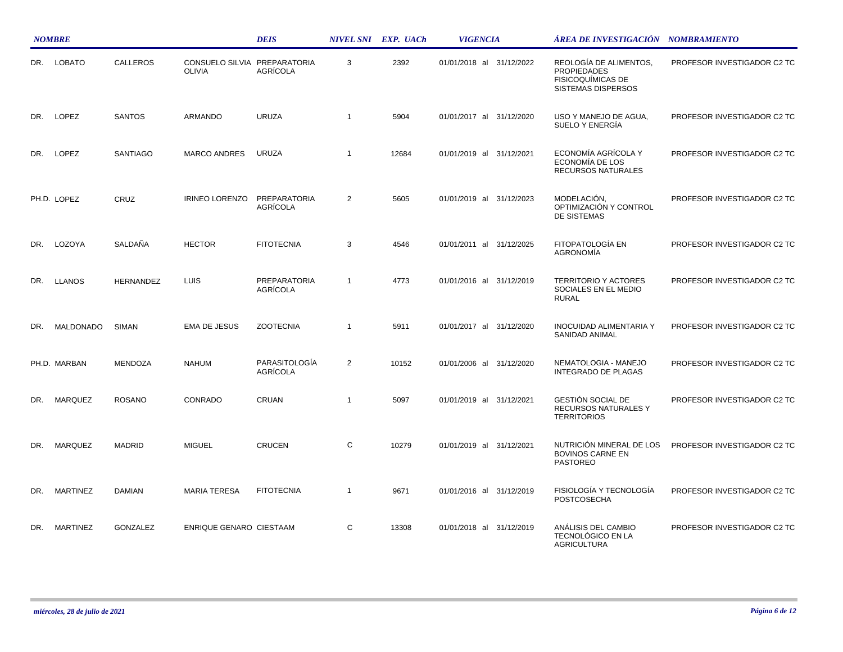|     | <b>NOMBRE</b>   |                  |                                               | <b>DEIS</b>                            |                | NIVEL SNI EXP. UACh | <b>VIGENCIA</b>          | ÁREA DE INVESTIGACIÓN    NOMBRAMIENTO                                                   |                             |
|-----|-----------------|------------------|-----------------------------------------------|----------------------------------------|----------------|---------------------|--------------------------|-----------------------------------------------------------------------------------------|-----------------------------|
| DR. | <b>LOBATO</b>   | CALLEROS         | CONSUELO SILVIA PREPARATORIA<br><b>OLIVIA</b> | AGRÍCOLA                               | 3              | 2392                | 01/01/2018 al 31/12/2022 | REOLOGÍA DE ALIMENTOS.<br><b>PROPIEDADES</b><br>FISICOQUÍMICAS DE<br>SISTEMAS DISPERSOS | PROFESOR INVESTIGADOR C2 TC |
| DR. | LOPEZ           | <b>SANTOS</b>    | <b>ARMANDO</b>                                | <b>URUZA</b>                           | $\mathbf{1}$   | 5904                | 01/01/2017 al 31/12/2020 | USO Y MANEJO DE AGUA,<br>SUELO Y ENERGÍA                                                | PROFESOR INVESTIGADOR C2 TC |
| DR. | LOPEZ           | SANTIAGO         | <b>MARCO ANDRES</b>                           | <b>URUZA</b>                           | $\mathbf{1}$   | 12684               | 01/01/2019 al 31/12/2021 | ECONOMÍA AGRÍCOLA Y<br>ECONOMÍA DE LOS<br><b>RECURSOS NATURALES</b>                     | PROFESOR INVESTIGADOR C2 TC |
|     | PH.D. LOPEZ     | CRUZ             | <b>IRINEO LORENZO</b>                         | PREPARATORIA<br>AGRÍCOLA               | $\overline{2}$ | 5605                | 01/01/2019 al 31/12/2023 | MODELACIÓN,<br>OPTIMIZACIÓN Y CONTROL<br>DE SISTEMAS                                    | PROFESOR INVESTIGADOR C2 TC |
| DR. | LOZOYA          | SALDAÑA          | <b>HECTOR</b>                                 | <b>FITOTECNIA</b>                      | 3              | 4546                | 01/01/2011 al 31/12/2025 | FITOPATOLOGÍA EN<br><b>AGRONOMÍA</b>                                                    | PROFESOR INVESTIGADOR C2 TC |
| DR. | <b>LLANOS</b>   | <b>HERNANDEZ</b> | <b>LUIS</b>                                   | <b>PREPARATORIA</b><br><b>AGRÍCOLA</b> | $\mathbf{1}$   | 4773                | 01/01/2016 al 31/12/2019 | <b>TERRITORIO Y ACTORES</b><br>SOCIALES EN EL MEDIO<br><b>RURAL</b>                     | PROFESOR INVESTIGADOR C2 TC |
| DR. | MALDONADO       | <b>SIMAN</b>     | <b>EMA DE JESUS</b>                           | <b>ZOOTECNIA</b>                       | $\mathbf{1}$   | 5911                | 01/01/2017 al 31/12/2020 | <b>INOCUIDAD ALIMENTARIA Y</b><br>SANIDAD ANIMAL                                        | PROFESOR INVESTIGADOR C2 TC |
|     | PH.D. MARBAN    | <b>MENDOZA</b>   | <b>NAHUM</b>                                  | PARASITOLOGÍA<br><b>AGRÍCOLA</b>       | $\overline{2}$ | 10152               | 01/01/2006 al 31/12/2020 | NEMATOLOGIA - MANEJO<br><b>INTEGRADO DE PLAGAS</b>                                      | PROFESOR INVESTIGADOR C2 TC |
| DR. | MARQUEZ         | <b>ROSANO</b>    | CONRADO                                       | CRUAN                                  | $\mathbf{1}$   | 5097                | 01/01/2019 al 31/12/2021 | GESTIÓN SOCIAL DE<br>RECURSOS NATURALES Y<br><b>TERRITORIOS</b>                         | PROFESOR INVESTIGADOR C2 TC |
| DR. | <b>MARQUEZ</b>  | <b>MADRID</b>    | <b>MIGUEL</b>                                 | <b>CRUCEN</b>                          | C              | 10279               | 01/01/2019 al 31/12/2021 | NUTRICIÓN MINERAL DE LOS<br><b>BOVINOS CARNE EN</b><br><b>PASTOREO</b>                  | PROFESOR INVESTIGADOR C2 TC |
| DR. | <b>MARTINEZ</b> | <b>DAMIAN</b>    | <b>MARIA TERESA</b>                           | <b>FITOTECNIA</b>                      | $\mathbf{1}$   | 9671                | 01/01/2016 al 31/12/2019 | FISIOLOGÍA Y TECNOLOGÍA<br><b>POSTCOSECHA</b>                                           | PROFESOR INVESTIGADOR C2 TC |
| DR. | <b>MARTINEZ</b> | <b>GONZALEZ</b>  | ENRIQUE GENARO CIESTAAM                       |                                        | C              | 13308               | 01/01/2018 al 31/12/2019 | ANÁLISIS DEL CAMBIO<br>TECNOLÓGICO EN LA<br><b>AGRICULTURA</b>                          | PROFESOR INVESTIGADOR C2 TC |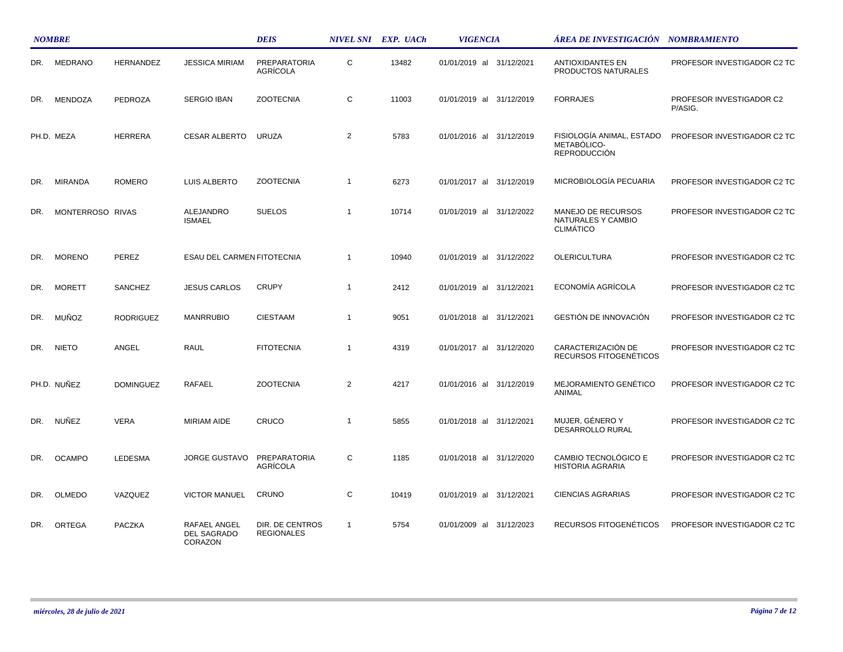|     | <b>NOMBRE</b>    |                  |                                        | <b>DEIS</b>                            |                | NIVEL SNI EXP. UACh | <b>VIGENCIA</b>          | ÁREA DE INVESTIGACIÓN NOMBRAMIENTO                              |                                     |
|-----|------------------|------------------|----------------------------------------|----------------------------------------|----------------|---------------------|--------------------------|-----------------------------------------------------------------|-------------------------------------|
| DR. | <b>MEDRANO</b>   | <b>HERNANDEZ</b> | <b>JESSICA MIRIAM</b>                  | <b>PREPARATORIA</b><br><b>AGRICOLA</b> | $\mathbf C$    | 13482               | 01/01/2019 al 31/12/2021 | <b>ANTIOXIDANTES EN</b><br>PRODUCTOS NATURALES                  | PROFESOR INVESTIGADOR C2 TC         |
| DR. | <b>MENDOZA</b>   | <b>PEDROZA</b>   | <b>SERGIO IBAN</b>                     | <b>ZOOTECNIA</b>                       | C              | 11003               | 01/01/2019 al 31/12/2019 | <b>FORRAJES</b>                                                 | PROFESOR INVESTIGADOR C2<br>P/ASIG. |
|     | PH.D. MEZA       | <b>HERRERA</b>   | <b>CESAR ALBERTO</b>                   | <b>URUZA</b>                           | $\overline{2}$ | 5783                | 01/01/2016 al 31/12/2019 | FISIOLOGÍA ANIMAL, ESTADO<br>METABÓLICO-<br><b>REPRODUCCIÓN</b> | PROFESOR INVESTIGADOR C2 TC         |
| DR. | <b>MIRANDA</b>   | <b>ROMERO</b>    | LUIS ALBERTO                           | <b>ZOOTECNIA</b>                       | $\overline{1}$ | 6273                | 01/01/2017 al 31/12/2019 | MICROBIOLOGÍA PECUARIA                                          | PROFESOR INVESTIGADOR C2 TC         |
| DR. | MONTERROSO RIVAS |                  | <b>ALEJANDRO</b><br><b>ISMAEL</b>      | <b>SUELOS</b>                          | $\overline{1}$ | 10714               | 01/01/2019 al 31/12/2022 | MANEJO DE RECURSOS<br>NATURALES Y CAMBIO<br><b>CLIMATICO</b>    | PROFESOR INVESTIGADOR C2 TC         |
| DR. | <b>MORENO</b>    | PEREZ            | ESAU DEL CARMEN FITOTECNIA             |                                        | $\overline{1}$ | 10940               | 01/01/2019 al 31/12/2022 | <b>OLERICULTURA</b>                                             | PROFESOR INVESTIGADOR C2 TC         |
| DR. | <b>MORETT</b>    | SANCHEZ          | <b>JESUS CARLOS</b>                    | <b>CRUPY</b>                           | $\overline{1}$ | 2412                | 01/01/2019 al 31/12/2021 | ECONOMÍA AGRÍCOLA                                               | PROFESOR INVESTIGADOR C2 TC         |
| DR. | MUÑOZ            | <b>RODRIGUEZ</b> | <b>MANRRUBIO</b>                       | <b>CIESTAAM</b>                        | $\overline{1}$ | 9051                | 01/01/2018 al 31/12/2021 | GESTIÓN DE INNOVACIÓN                                           | PROFESOR INVESTIGADOR C2 TC         |
| DR. | <b>NIETO</b>     | ANGEL            | <b>RAUL</b>                            | <b>FITOTECNIA</b>                      | $\overline{1}$ | 4319                | 01/01/2017 al 31/12/2020 | CARACTERIZACIÓN DE<br>RECURSOS FITOGENÉTICOS                    | PROFESOR INVESTIGADOR C2 TC         |
|     | PH.D. NUÑEZ      | <b>DOMINGUEZ</b> | <b>RAFAEL</b>                          | <b>ZOOTECNIA</b>                       | 2              | 4217                | 01/01/2016 al 31/12/2019 | MEJORAMIENTO GENÉTICO<br>ANIMAL                                 | PROFESOR INVESTIGADOR C2 TC         |
| DR. | NUÑEZ            | <b>VERA</b>      | <b>MIRIAM AIDE</b>                     | CRUCO                                  | $\overline{1}$ | 5855                | 01/01/2018 al 31/12/2021 | MUJER, GÉNERO Y<br>DESARROLLO RURAL                             | PROFESOR INVESTIGADOR C2 TC         |
| DR. | <b>OCAMPO</b>    | <b>LEDESMA</b>   | <b>JORGE GUSTAVO</b>                   | PREPARATORIA<br>AGRÍCOLA               | C              | 1185                | 01/01/2018 al 31/12/2020 | CAMBIO TECNOLÓGICO E<br><b>HISTORIA AGRARIA</b>                 | PROFESOR INVESTIGADOR C2 TC         |
| DR. | <b>OLMEDO</b>    | VAZQUEZ          | <b>VICTOR MANUEL</b>                   | CRUNO                                  | C              | 10419               | 01/01/2019 al 31/12/2021 | <b>CIENCIAS AGRARIAS</b>                                        | PROFESOR INVESTIGADOR C2 TC         |
| DR. | <b>ORTEGA</b>    | <b>PACZKA</b>    | RAFAEL ANGEL<br>DEL SAGRADO<br>CORAZON | DIR. DE CENTROS<br><b>REGIONALES</b>   | $\overline{1}$ | 5754                | 01/01/2009 al 31/12/2023 | RECURSOS FITOGENÉTICOS                                          | PROFESOR INVESTIGADOR C2 TC         |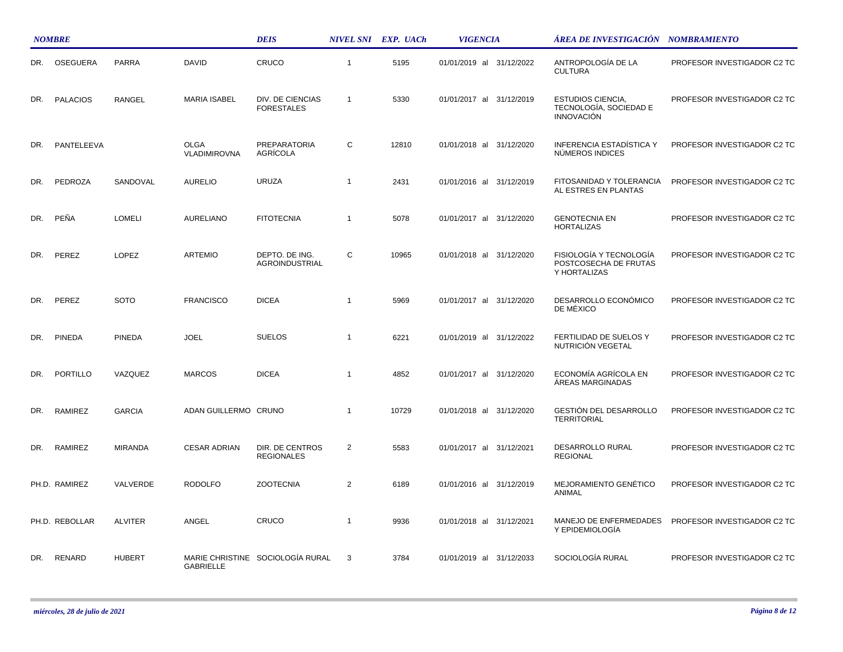|     | <b>NOMBRE</b>   |                |                             | <b>DEIS</b>                           |                | NIVEL SNI EXP. UACh | <b>VIGENCIA</b>          | ÁREA DE INVESTIGACIÓN NOMBRAMIENTO                                      |                             |
|-----|-----------------|----------------|-----------------------------|---------------------------------------|----------------|---------------------|--------------------------|-------------------------------------------------------------------------|-----------------------------|
| DR. | OSEGUERA        | <b>PARRA</b>   | <b>DAVID</b>                | CRUCO                                 | $\overline{1}$ | 5195                | 01/01/2019 al 31/12/2022 | ANTROPOLOGÍA DE LA<br><b>CULTURA</b>                                    | PROFESOR INVESTIGADOR C2 TC |
| DR. | <b>PALACIOS</b> | <b>RANGEL</b>  | <b>MARIA ISABEL</b>         | DIV. DE CIENCIAS<br><b>FORESTALES</b> | $\overline{1}$ | 5330                | 01/01/2017 al 31/12/2019 | <b>ESTUDIOS CIENCIA,</b><br>TECNOLOGÍA, SOCIEDAD E<br><b>INNOVACIÓN</b> | PROFESOR INVESTIGADOR C2 TC |
| DR. | PANTELEEVA      |                | <b>OLGA</b><br>VLADIMIROVNA | PREPARATORIA<br><b>AGRICOLA</b>       | C              | 12810               | 01/01/2018 al 31/12/2020 | <b>INFERENCIA ESTADÍSTICA Y</b><br>NÚMEROS INDICES                      | PROFESOR INVESTIGADOR C2 TC |
| DR. | PEDROZA         | SANDOVAL       | <b>AURELIO</b>              | <b>URUZA</b>                          | $\overline{1}$ | 2431                | 01/01/2016 al 31/12/2019 | FITOSANIDAD Y TOLERANCIA<br>AL ESTRES EN PLANTAS                        | PROFESOR INVESTIGADOR C2 TC |
| DR. | PEÑA            | <b>LOMELI</b>  | AURELIANO                   | <b>FITOTECNIA</b>                     | $\overline{1}$ | 5078                | 01/01/2017 al 31/12/2020 | <b>GENOTECNIA EN</b><br><b>HORTALIZAS</b>                               | PROFESOR INVESTIGADOR C2 TC |
| DR. | PEREZ           | <b>LOPEZ</b>   | <b>ARTEMIO</b>              | DEPTO. DE ING.<br>AGROINDUSTRIAL      | C              | 10965               | 01/01/2018 al 31/12/2020 | FISIOLOGÍA Y TECNOLOGÍA<br>POSTCOSECHA DE FRUTAS<br>Y HORTALIZAS        | PROFESOR INVESTIGADOR C2 TC |
| DR. | PEREZ           | <b>SOTO</b>    | <b>FRANCISCO</b>            | <b>DICEA</b>                          | $\overline{1}$ | 5969                | 01/01/2017 al 31/12/2020 | DESARROLLO ECONÓMICO<br>DE MÉXICO                                       | PROFESOR INVESTIGADOR C2 TC |
| DR. | <b>PINEDA</b>   | <b>PINEDA</b>  | <b>JOEL</b>                 | <b>SUELOS</b>                         | $\overline{1}$ | 6221                | 01/01/2019 al 31/12/2022 | FERTILIDAD DE SUELOS Y<br>NUTRICIÓN VEGETAL                             | PROFESOR INVESTIGADOR C2 TC |
| DR. | PORTILLO        | VAZQUEZ        | <b>MARCOS</b>               | <b>DICEA</b>                          | $\overline{1}$ | 4852                | 01/01/2017 al 31/12/2020 | ECONOMÍA AGRÍCOLA EN<br>ÁREAS MARGINADAS                                | PROFESOR INVESTIGADOR C2 TC |
| DR. | RAMIREZ         | <b>GARCIA</b>  | ADAN GUILLERMO CRUNO        |                                       | $\overline{1}$ | 10729               | 01/01/2018 al 31/12/2020 | GESTIÓN DEL DESARROLLO<br><b>TERRITORIAL</b>                            | PROFESOR INVESTIGADOR C2 TC |
| DR. | RAMIREZ         | <b>MIRANDA</b> | <b>CESAR ADRIAN</b>         | DIR. DE CENTROS<br><b>REGIONALES</b>  | 2              | 5583                | 01/01/2017 al 31/12/2021 | DESARROLLO RURAL<br><b>REGIONAL</b>                                     | PROFESOR INVESTIGADOR C2 TC |
|     | PH.D. RAMIREZ   | VALVERDE       | <b>RODOLFO</b>              | <b>ZOOTECNIA</b>                      | $\overline{2}$ | 6189                | 01/01/2016 al 31/12/2019 | MEJORAMIENTO GENÉTICO<br>ANIMAL                                         | PROFESOR INVESTIGADOR C2 TC |
|     | PH.D. REBOLLAR  | <b>ALVITER</b> | ANGEL                       | CRUCO                                 | $\overline{1}$ | 9936                | 01/01/2018 al 31/12/2021 | MANEJO DE ENFERMEDADES<br>Y EPIDEMIOLOGÍA                               | PROFESOR INVESTIGADOR C2 TC |
| DR. | RENARD          | <b>HUBERT</b>  | GABRIELLE                   | MARIE CHRISTINE SOCIOLOGÍA RURAL      | 3              | 3784                | 01/01/2019 al 31/12/2033 | SOCIOLOGÍA RURAL                                                        | PROFESOR INVESTIGADOR C2 TC |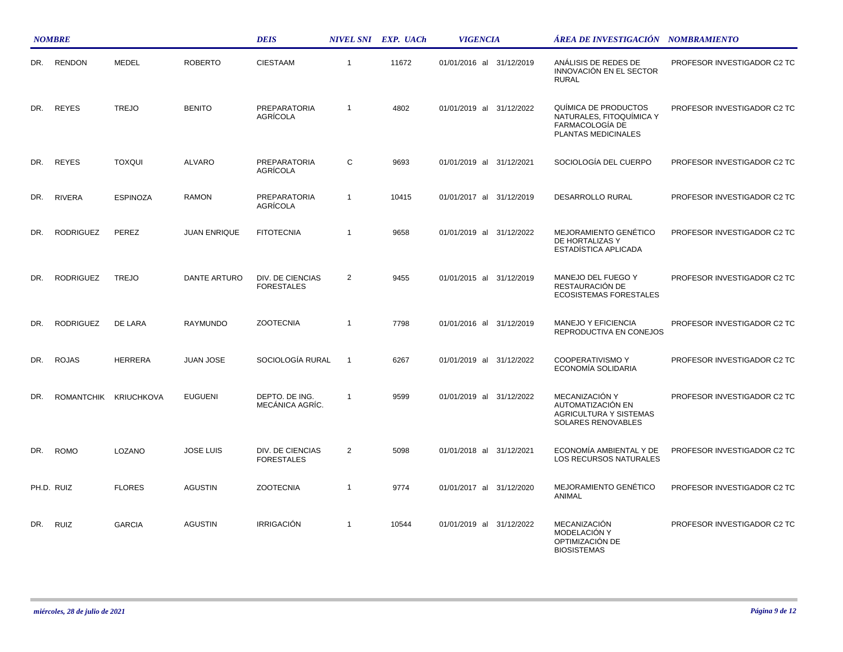|     | <b>NOMBRE</b>    |                       |                     | <b>DEIS</b>                            |                | NIVEL SNI EXP. UACh | <b>VIGENCIA</b>             | ÁREA DE INVESTIGACIÓN NOMBRAMIENTO                                                         |                             |
|-----|------------------|-----------------------|---------------------|----------------------------------------|----------------|---------------------|-----------------------------|--------------------------------------------------------------------------------------------|-----------------------------|
| DR. | <b>RENDON</b>    | <b>MEDEL</b>          | <b>ROBERTO</b>      | <b>CIESTAAM</b>                        | $\mathbf{1}$   | 11672               | 01/01/2016 al 31/12/2019    | ANÁLISIS DE REDES DE<br>INNOVACIÓN EN EL SECTOR<br><b>RURAL</b>                            | PROFESOR INVESTIGADOR C2 TC |
| DR. | <b>REYES</b>     | <b>TREJO</b>          | <b>BENITO</b>       | <b>PREPARATORIA</b><br><b>AGRÍCOLA</b> | $\mathbf{1}$   | 4802                | 01/01/2019 al<br>31/12/2022 | QUÍMICA DE PRODUCTOS<br>NATURALES, FITOQUÍMICA Y<br>FARMACOLOGÍA DE<br>PLANTAS MEDICINALES | PROFESOR INVESTIGADOR C2 TC |
| DR. | <b>REYES</b>     | <b>TOXQUI</b>         | <b>ALVARO</b>       | <b>PREPARATORIA</b><br><b>AGRÍCOLA</b> | C              | 9693                | 01/01/2019 al 31/12/2021    | SOCIOLOGÍA DEL CUERPO                                                                      | PROFESOR INVESTIGADOR C2 TC |
| DR. | <b>RIVERA</b>    | <b>ESPINOZA</b>       | <b>RAMON</b>        | <b>PREPARATORIA</b><br>AGRÍCOLA        | $\mathbf{1}$   | 10415               | 01/01/2017 al 31/12/2019    | DESARROLLO RURAL                                                                           | PROFESOR INVESTIGADOR C2 TC |
| DR. | <b>RODRIGUEZ</b> | PEREZ                 | <b>JUAN ENRIQUE</b> | <b>FITOTECNIA</b>                      | $\mathbf{1}$   | 9658                | 01/01/2019 al 31/12/2022    | MEJORAMIENTO GENÉTICO<br>DE HORTALIZAS Y<br>ESTADÍSTICA APLICADA                           | PROFESOR INVESTIGADOR C2 TC |
| DR. | <b>RODRIGUEZ</b> | <b>TREJO</b>          | DANTE ARTURO        | DIV. DE CIENCIAS<br><b>FORESTALES</b>  | 2              | 9455                | 01/01/2015 al 31/12/2019    | MANEJO DEL FUEGO Y<br>RESTAURACIÓN DE<br><b>ECOSISTEMAS FORESTALES</b>                     | PROFESOR INVESTIGADOR C2 TC |
| DR. | <b>RODRIGUEZ</b> | DE LARA               | RAYMUNDO            | <b>ZOOTECNIA</b>                       | $\mathbf{1}$   | 7798                | 01/01/2016 al 31/12/2019    | <b>MANEJO Y EFICIENCIA</b><br>REPRODUCTIVA EN CONEJOS                                      | PROFESOR INVESTIGADOR C2 TC |
| DR. | <b>ROJAS</b>     | <b>HERRERA</b>        | JUAN JOSE           | SOCIOLOGÍA RURAL                       | $\overline{1}$ | 6267                | 01/01/2019 al 31/12/2022    | COOPERATIVISMO Y<br>ECONOMÍA SOLIDARIA                                                     | PROFESOR INVESTIGADOR C2 TC |
| DR. |                  | ROMANTCHIK KRIUCHKOVA | <b>EUGUENI</b>      | DEPTO. DE ING.<br>MECÁNICA AGRÍC.      | $\overline{1}$ | 9599                | 01/01/2019 al 31/12/2022    | MECANIZACIÓN Y<br>AUTOMATIZACIÓN EN<br><b>AGRICULTURA Y SISTEMAS</b><br>SOLARES RENOVABLES | PROFESOR INVESTIGADOR C2 TC |
| DR. | <b>ROMO</b>      | LOZANO                | <b>JOSE LUIS</b>    | DIV. DE CIENCIAS<br><b>FORESTALES</b>  | 2              | 5098                | 01/01/2018 al 31/12/2021    | ECONOMÍA AMBIENTAL Y DE<br>LOS RECURSOS NATURALES                                          | PROFESOR INVESTIGADOR C2 TC |
|     | PH.D. RUIZ       | <b>FLORES</b>         | <b>AGUSTIN</b>      | <b>ZOOTECNIA</b>                       | $\mathbf{1}$   | 9774                | 01/01/2017 al 31/12/2020    | <b>MEJORAMIENTO GENÉTICO</b><br>ANIMAL                                                     | PROFESOR INVESTIGADOR C2 TC |
| DR. | <b>RUIZ</b>      | <b>GARCIA</b>         | <b>AGUSTIN</b>      | <b>IRRIGACIÓN</b>                      | $\mathbf{1}$   | 10544               | 01/01/2019 al 31/12/2022    | <b>MECANIZACIÓN</b><br>MODELACIÓN Y<br>OPTIMIZACIÓN DE<br><b>BIOSISTEMAS</b>               | PROFESOR INVESTIGADOR C2 TC |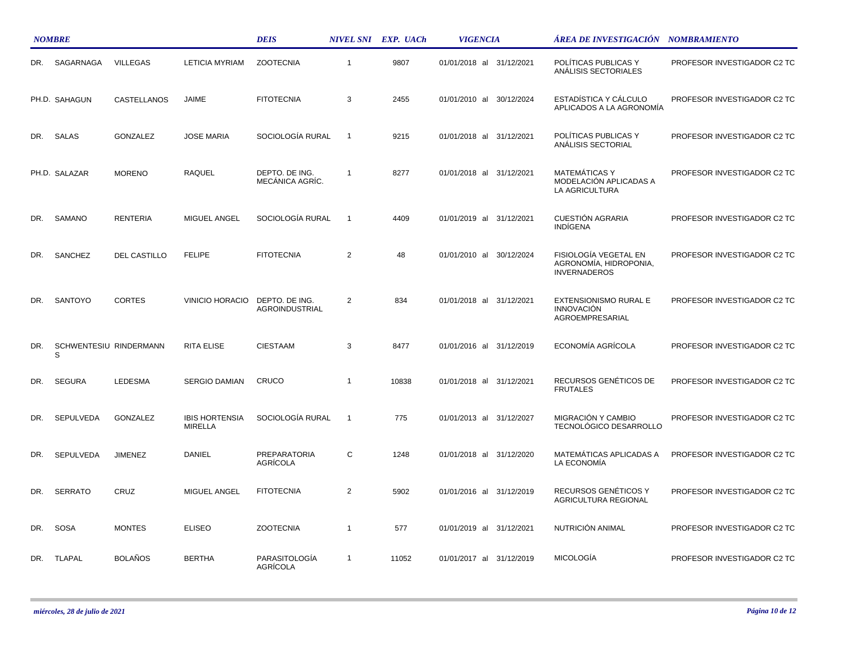|     | <b>NOMBRE</b>               |                 |                                         | <b>DEIS</b>                             |                | NIVEL SNI EXP. UACh | <b>VIGENCIA</b>             | ÁREA DE INVESTIGACIÓN NOMBRAMIENTO                                     |                             |
|-----|-----------------------------|-----------------|-----------------------------------------|-----------------------------------------|----------------|---------------------|-----------------------------|------------------------------------------------------------------------|-----------------------------|
| DR. | SAGARNAGA                   | <b>VILLEGAS</b> | <b>LETICIA MYRIAM</b>                   | <b>ZOOTECNIA</b>                        | $\mathbf{1}$   | 9807                | 01/01/2018 al 31/12/2021    | POLÍTICAS PUBLICAS Y<br>ANÁLISIS SECTORIALES                           | PROFESOR INVESTIGADOR C2 TC |
|     | PH.D. SAHAGUN               | CASTELLANOS     | <b>JAIME</b>                            | <b>FITOTECNIA</b>                       | 3              | 2455                | 01/01/2010 al 30/12/2024    | ESTADÍSTICA Y CÁLCULO<br>APLICADOS A LA AGRONOMÍA                      | PROFESOR INVESTIGADOR C2 TC |
| DR. | SALAS                       | <b>GONZALEZ</b> | <b>JOSE MARIA</b>                       | SOCIOLOGÍA RURAL                        | $\overline{1}$ | 9215                | 01/01/2018 al 31/12/2021    | POLÍTICAS PUBLICAS Y<br>ANALISIS SECTORIAL                             | PROFESOR INVESTIGADOR C2 TC |
|     | PH.D. SALAZAR               | <b>MORENO</b>   | <b>RAQUEL</b>                           | DEPTO. DE ING.<br>MECÁNICA AGRÍC.       | $\overline{1}$ | 8277                | 01/01/2018 al 31/12/2021    | <b>MATEMÁTICAS Y</b><br>MODELACIÓN APLICADAS A<br>LA AGRICULTURA       | PROFESOR INVESTIGADOR C2 TC |
| DR. | SAMANO                      | <b>RENTERIA</b> | MIGUEL ANGEL                            | SOCIOLOGÍA RURAL                        | $\overline{1}$ | 4409                | 01/01/2019 al 31/12/2021    | <b>CUESTIÓN AGRARIA</b><br><b>INDÍGENA</b>                             | PROFESOR INVESTIGADOR C2 TC |
| DR. | SANCHEZ                     | DEL CASTILLO    | <b>FELIPE</b>                           | <b>FITOTECNIA</b>                       | $\overline{2}$ | 48                  | 01/01/2010 al 30/12/2024    | FISIOLOGÍA VEGETAL EN<br>AGRONOMÍA, HIDROPONIA,<br><b>INVERNADEROS</b> | PROFESOR INVESTIGADOR C2 TC |
| DR. | SANTOYO                     | <b>CORTES</b>   | <b>VINICIO HORACIO</b>                  | DEPTO. DE ING.<br><b>AGROINDUSTRIAL</b> | $\overline{2}$ | 834                 | 01/01/2018 al 31/12/2021    | EXTENSIONISMO RURAL E<br><b>INNOVACIÓN</b><br>AGROEMPRESARIAL          | PROFESOR INVESTIGADOR C2 TC |
| DR. | SCHWENTESIU RINDERMANN<br>S |                 | <b>RITA ELISE</b>                       | <b>CIESTAAM</b>                         | 3              | 8477                | 01/01/2016 al 31/12/2019    | ECONOMÍA AGRÍCOLA                                                      | PROFESOR INVESTIGADOR C2 TC |
| DR. | <b>SEGURA</b>               | LEDESMA         | <b>SERGIO DAMIAN</b>                    | CRUCO                                   | 1              | 10838               | 01/01/2018 al 31/12/2021    | RECURSOS GENÉTICOS DE<br><b>FRUTALES</b>                               | PROFESOR INVESTIGADOR C2 TC |
| DR. | SEPULVEDA                   | <b>GONZALEZ</b> | <b>IBIS HORTENSIA</b><br><b>MIRELLA</b> | SOCIOLOGÍA RURAL                        | $\overline{1}$ | 775                 | 01/01/2013 al 31/12/2027    | MIGRACIÓN Y CAMBIO<br>TECNOLÓGICO DESARROLLO                           | PROFESOR INVESTIGADOR C2 TC |
| DR. | <b>SEPULVEDA</b>            | <b>JIMENEZ</b>  | DANIEL                                  | <b>PREPARATORIA</b><br>AGRÍCOLA         | $\mathsf{C}$   | 1248                | 01/01/2018 al 31/12/2020    | <b>MATEMÁTICAS APLICADAS A</b><br>LA ECONOMÍA                          | PROFESOR INVESTIGADOR C2 TC |
| DR. | <b>SERRATO</b>              | CRUZ            | MIGUEL ANGEL                            | <b>FITOTECNIA</b>                       | $\overline{2}$ | 5902                | 01/01/2016 al 31/12/2019    | RECURSOS GENÉTICOS Y<br>AGRICULTURA REGIONAL                           | PROFESOR INVESTIGADOR C2 TC |
| DR. | <b>SOSA</b>                 | <b>MONTES</b>   | <b>ELISEO</b>                           | <b>ZOOTECNIA</b>                        | $\mathbf{1}$   | 577                 | 01/01/2019 al<br>31/12/2021 | NUTRICIÓN ANIMAL                                                       | PROFESOR INVESTIGADOR C2 TC |
| DR. | <b>TLAPAL</b>               | <b>BOLAÑOS</b>  | <b>BERTHA</b>                           | PARASITOLOGÍA<br>AGRÍCOLA               | $\overline{1}$ | 11052               | 01/01/2017 al 31/12/2019    | <b>MICOLOGÍA</b>                                                       | PROFESOR INVESTIGADOR C2 TC |

 $\mathcal{L}$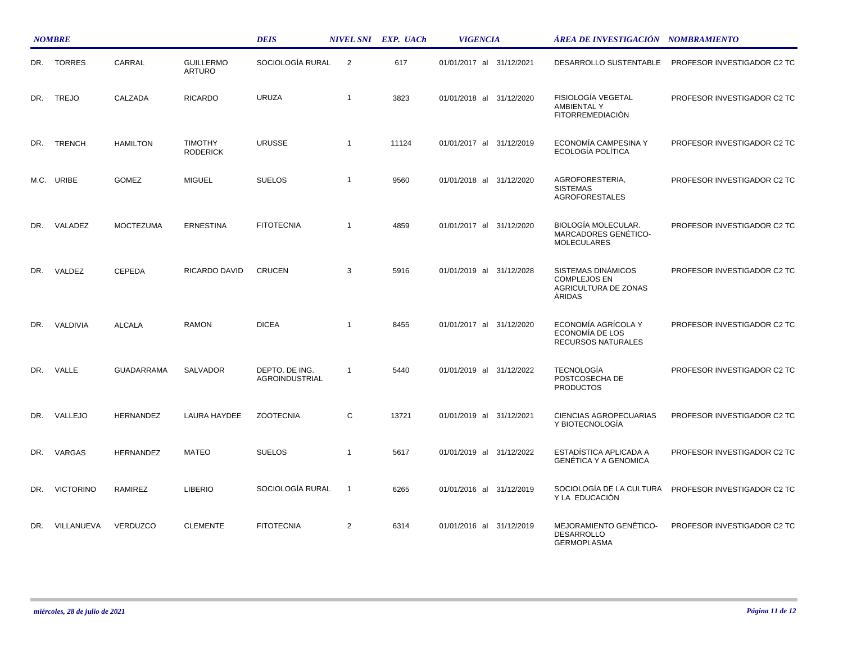|     | <b>NOMBRE</b>    |                   |                                   | <b>DEIS</b>                      |                | NIVEL SNI EXP. UACh | <b>VIGENCIA</b>          | ÁREA DE INVESTIGACIÓN NOMBRAMIENTO                                          |                             |
|-----|------------------|-------------------|-----------------------------------|----------------------------------|----------------|---------------------|--------------------------|-----------------------------------------------------------------------------|-----------------------------|
| DR. | <b>TORRES</b>    | CARRAL            | <b>GUILLERMO</b><br><b>ARTURO</b> | SOCIOLOGÍA RURAL                 | 2              | 617                 | 01/01/2017 al 31/12/2021 | DESARROLLO SUSTENTABLE                                                      | PROFESOR INVESTIGADOR C2 TC |
| DR. | <b>TREJO</b>     | CALZADA           | <b>RICARDO</b>                    | <b>URUZA</b>                     | $\overline{1}$ | 3823                | 01/01/2018 al 31/12/2020 | FISIOLOGÍA VEGETAL<br><b>AMBIENTAL Y</b><br><b>FITORREMEDIACIÓN</b>         | PROFESOR INVESTIGADOR C2 TC |
| DR. | <b>TRENCH</b>    | <b>HAMILTON</b>   | <b>TIMOTHY</b><br><b>RODERICK</b> | <b>URUSSE</b>                    | $\overline{1}$ | 11124               | 01/01/2017 al 31/12/2019 | ECONOMÍA CAMPESINA Y<br>ECOLOGÍA POLÍTICA                                   | PROFESOR INVESTIGADOR C2 TC |
|     | M.C. URIBE       | <b>GOMEZ</b>      | <b>MIGUEL</b>                     | <b>SUELOS</b>                    | $\overline{1}$ | 9560                | 01/01/2018 al 31/12/2020 | AGROFORESTERIA,<br><b>SISTEMAS</b><br><b>AGROFORESTALES</b>                 | PROFESOR INVESTIGADOR C2 TC |
| DR. | VALADEZ          | <b>MOCTEZUMA</b>  | <b>ERNESTINA</b>                  | <b>FITOTECNIA</b>                | $\overline{1}$ | 4859                | 01/01/2017 al 31/12/2020 | BIOLOGÍA MOLECULAR.<br>MARCADORES GENÉTICO-<br><b>MOLECULARES</b>           | PROFESOR INVESTIGADOR C2 TC |
| DR. | VALDEZ           | <b>CEPEDA</b>     | RICARDO DAVID                     | <b>CRUCEN</b>                    | 3              | 5916                | 01/01/2019 al 31/12/2028 | SISTEMAS DINÁMICOS<br><b>COMPLEJOS EN</b><br>AGRICULTURA DE ZONAS<br>ÀRIDAS | PROFESOR INVESTIGADOR C2 TC |
| DR. | VALDIVIA         | <b>ALCALA</b>     | <b>RAMON</b>                      | <b>DICEA</b>                     | $\overline{1}$ | 8455                | 01/01/2017 al 31/12/2020 | ECONOMÍA AGRÍCOLA Y<br>ECONOMÍA DE LOS<br>RECURSOS NATURALES                | PROFESOR INVESTIGADOR C2 TC |
| DR. | VALLE            | <b>GUADARRAMA</b> | <b>SALVADOR</b>                   | DEPTO. DE ING.<br>AGROINDUSTRIAL | $\overline{1}$ | 5440                | 01/01/2019 al 31/12/2022 | <b>TECNOLOGÍA</b><br>POSTCOSECHA DE<br><b>PRODUCTOS</b>                     | PROFESOR INVESTIGADOR C2 TC |
| DR. | VALLEJO          | HERNANDEZ         | LAURA HAYDEE                      | <b>ZOOTECNIA</b>                 | C              | 13721               | 01/01/2019 al 31/12/2021 | CIENCIAS AGROPECUARIAS<br>Y BIOTECNOLOGÍA                                   | PROFESOR INVESTIGADOR C2 TC |
| DR. | VARGAS           | <b>HERNANDEZ</b>  | <b>MATEO</b>                      | <b>SUELOS</b>                    | $\overline{1}$ | 5617                | 01/01/2019 al 31/12/2022 | ESTADÍSTICA APLICADA A<br><b>GENÉTICA Y A GENOMICA</b>                      | PROFESOR INVESTIGADOR C2 TC |
| DR. | <b>VICTORINO</b> | <b>RAMIREZ</b>    | <b>LIBERIO</b>                    | SOCIOLOGÍA RURAL                 | $\overline{1}$ | 6265                | 01/01/2016 al 31/12/2019 | SOCIOLOGÍA DE LA CULTURA<br>Y LA EDUCACIÓN                                  | PROFESOR INVESTIGADOR C2 TC |
| DR. | VILLANUEVA       | VERDUZCO          | <b>CLEMENTE</b>                   | <b>FITOTECNIA</b>                | 2              | 6314                | 01/01/2016 al 31/12/2019 | MEJORAMIENTO GENÉTICO-<br><b>DESARROLLO</b><br><b>GERMOPLASMA</b>           | PROFESOR INVESTIGADOR C2 TC |